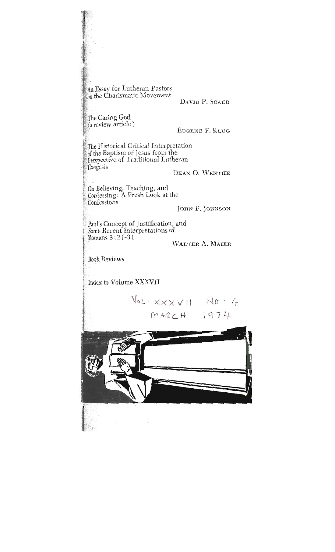An Essay for Lutheran Pastors on the Charismatic Movement

Ion the Charismatic Movement

DAVID P SCAER

The Caring God (a review article)

EUGENE F. KLUG

**<sup>3</sup>**[a review article) <sup>f</sup> -l he of the Baptism of Jesus from the of the Dapusin of Jesus Hom the<br>Deconective of Traditional Lutheran : refspective of Traditional Lutile.<br>Francis Exegesis<br>
DEAN O. WENTHE

On Believing, Teaching, and Confessing: A Fresh Look at the<br>Confessions Confessions<br>
I

 $\int$  $P_{\text{mons}}$   $3 \cdot 21 - 31$  $S^{\text{intra}}$  is a straining  $I$ 

**Book Reviews** 

**Book** Reviews

'Romans 3 : '2 **1-3 1** 

' Confessions

Index to Volume XXXVII

 $\sqrt{10} \cdot x \times x \times 11$  No  $4$  $MARCH 1974$ 

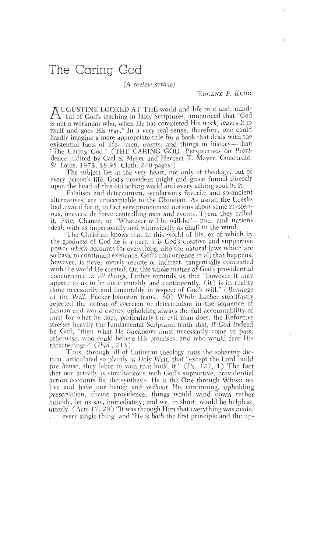(A *review article)* 

UGUSTZNE LOOI<EID AT THE world and life in it and, mind- A ful of God's teaching in Holy Scriptures, announced that "God is not a workman who, when He has completed His work, leaves it to itself and goes His way." In a very real sense, therefore, one could hardly imagine a more appropriate title for a book that deals with the existential facts of life-men, events, and things in history--than "The Caring God." (THE CARING GOD. Perspectives on Providence. Edited by Carl S. Meyer and Herbert T. Mayer. Concordia, St. Louis, 1973. \$8.95. Cloth. 240 pagcs.)

The subject lies at the very heart, not only of theology, but of every person's life. God's provident might and grace funnel directly upon the head of this old aching world and every aching soul in it.

Fatalism and determinism, secularism's favorite and so-ancient alternatives, are unacceptable to the Christian. As usual, the Greeks had a word for it, in fact very pronounced notions about some mysterious, irreversible force controlling men and events. Tyche they called it, Fate, Chance, or "Whatever-will-be-will-be"--men and nations dealt with as impersonally and whimsically as chaff in the wind.

The Christian knows that in this world of his, or of which by the goodness of God he is a part, it is God's creative and supportive power which accounts for everything, also the natural laws which are so basic to continued existence. God's concurrence in all that happens, however, is never merely remote or indirect, tangentially connected with the world He created. On this whole matter of God's providential concurrence in all things, Luther reminds us that "however it may appear to us to be done mutably and contingently, (it) is in reality done necessarily and immutably in respect of God's will." (Bondage of the Will, Packer-Johnston trans., 80) While Luther steadfastly rejected the notion of coercion or determinism in the sequence of human and world events, upholding always the full accountability of man for what he does, particularly the evil man does, the Reformer stresses heavily the fundamental Scriptural truth that, if God indeed be God, "then what He foreknows must necessarily come to pass; otherwise, who could believe His promises, and who would fear His threatenings?" (Ibid., 213)

Thus, through all of Lutheran theology runs the sobering dictum, articulated so plainly in Holy Writ, that "except the Lord build the house, they labor in vain that build it." (Ps.  $127, 1$ ) The fact that our activity is simultaneous with God's supportive, providential action accounts for the synthesis. He is the One through Whom we live and have our being; and without His continuing, upholding preservation, divine providence, things would wind down rather quickly, let us say, immediately; and we, in short, would be helpless, utterly. (Acts 17, 28) "It was through Him that everything was made, . . . every single thing" and "He is both the first principle and the up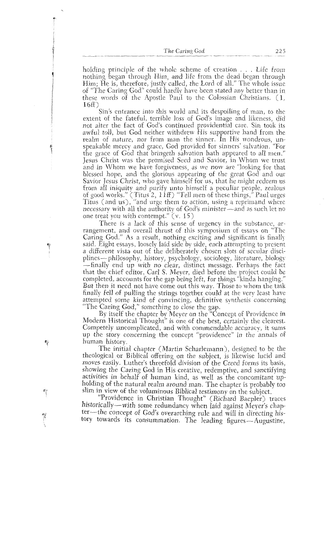holding principle of the whole scheme of creation  $\ldots$ . Life from nothing began through Him, and life from the dead began through Him; He is, therefore, justly called, the Lord of all." The whole issue of "The Caring God" could hardly have been stated any better than in these words of the Apostle Paul to the Colossian Christians. (1, 16E)

Sin's entrance into this world and its despoiling of man, to the. extent of the fateful, terrible loss of God's image and likeness, did not alter the fact of God's continued providential care. Sin took its awful toll, but God neither withdrew His supportive hand from the realm of nature, nor from man the sinner. In His wondrous, unspeakable mercy and grace, God provided for sinners' salvation. "For the grace of God that bringeth salvation hath appeared to all men." Jesus Christ was the promised Seed and Savior, in Whom we trust and in Whom we have forgiveness, as we now are "looking for that blessed hope, and the glorious appearing of the great God and our Savior Jesus Christ, who gave himself for us, that he might redeem us from all iniquity and purify unto himself a peculiar people, zealous of good works." (Titus 2,  $1 if$ ) "Tell men of these things," Paul urges Titus (and us), "and urge them to action, using a reprimand where necessary with all the authority of God's minister-and as such let no one treat you with contempt." (v. 15)

There is a lack of this sense of urgencv in the substance, arrangement, and overall thrust of this symposium of essays on "The Caring God." As a result, nothing exciting and significant is finally said. Eight essays, loosely laid side by side, each attempting to present a different vista out of the deliberately chosen slots of secular disciplines—philosophy, history, psychology, sociology, literature, biology -finally end up with no clear, distinct message. Perhaps the fact that the chief editor, Carl S. Meyer, died before the project could be completed, accounts for the gap being left, for things "kinda hanging." But then it need not have come out this way. Those to whom the task finally fell of pulling the strings together could at the very least have attempted some kind of convincing, definitive synthesis concerning "The Caring God," something to close the gap.

By itself the chapter by Meyer on the "Concept of Providence in Modern Historical Thought" is one of the best, certainly the clearest. Competely uncomplicated, and with commendable accuracy, it sums up the story concerning the concept "providence" in the annals of human history.

The initial chapter (Martin Scharlemann), designed to be the theological. or Biblical offering on the subject, is likewise lucid and moves easily. Luther's threefold division of the Creed forms its basis, showing the Caring God in His creative, redemptive, and sanctifying activities in behalf of human kind, as well as the concomitant upholding of the natural realm around man. The chapter is probably too slim in view of the voluminous Biblical testimony on the subject.

"Providence in Christian Thought" (Richard Baepler) traces historically-with some redundancy when laid against Meyer's chapter-the concept of God's overarching rule and will in directing history towards its consummation. The leading figures-Augustine,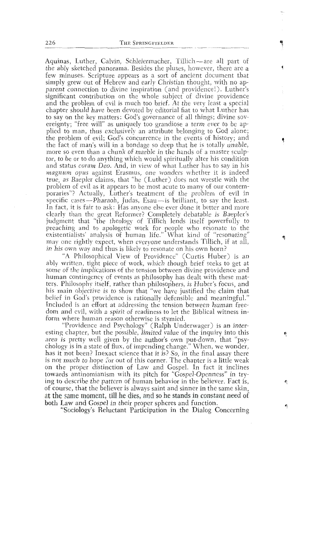Aquinas, Luther, Calvin, Schleiermacher, Tillich-are all part of the ably sketched panorama. Besides the pluses, however, there are a few minuses. Scripture appears as a sort of ancient document that simply grew out of Hebrew and early Christian thought, with no apparent connection to divine inspiration (and providence!). Luther's significant contribution on the whole subject of divine providence and the problem of evil is much too brief. At the very least a special chapter should have been devoted by editorial fiat to what Luther has to say on the key matters: God's governance of all things; divine sovereignty; "free will" as uniquely too grandiose a term ever to be applied to man, thus exclusively an attribute belonging to God alone; the problem of evil; God's concurrence in the events of history; and the fact of man's will in a bondage so deep that he is totally unable, more so even than a chunk of marble in the hands of a master sculptor, to be or to do anything which would spiritually alter his condition and status *coram Deo.* And, in view of what Luther has to say in his *magnum opus* against Erasmus, one wonders whether it is indeed *true*, as Baepler claims, that "he (Luther) does not wrestle with the problem of evil as it appears to be most acute to many of our contemporaries"? Actually, Luther's treatment of the problem of evil in specific cases—Pharaoh, Judas, Esau—is brilliant, to say the least. In fact, it is fair to ask: Has anvone else ever done it better and more clearly than the great Reformer? Completely debatable is Baepler's judgment that "the theology of Tillich lends itself powerfully to preaching and to apologetic work for people who resonate to the existentialists' analysis of human life." What kind of "resonating" may one rightly expect, when everyone understands Tillich, if at all, in his own way and thus is likely to resonate on his own horn?

"A Philosophical View of Providence" (Curtis Huber) is an ably written, tight piece of work, which though brief seeks to get at some of the implications of the tension between divine providence and human contingency of events as philosophy has dealt with these matters. Philosophy itself, rather than philosophers, is Huber's focus, and his main objective is to show that "we have justified the claim that belief in God's providence is rationally defensible and meaningful." Included is an effort at addressing the tension between human freedom and evil, with a spirit of readiness to let the Biblical witness inform where human reason otherwise is stymied.

"Providence and Psychology" (Ralph Underwager) is an interesting chapter, but the possible, limited value of the inquiry into this area is pretty well given by the author's own put-down, that "psychology is in a state of flux, of impending change." When, we wonder, has it not been? Inexact science that it is? So, in the final assay there is not much to hope for out of this corner. The chapter is a little weak on the proper distinction of Law and Gospel. In fact it inclines towards antinomianism with its pitch for "Gospel-Openness" in trying to describe the pattern of human behavior in the believer. Fact is, of course, that the believer is always saint and sinner in the same skin, at the same moment, till he dies, and so he stands in constant need of both Law and Gospel in their proper spheres and function.

"Sociology's Reluctant Participation in the Dialog Concerning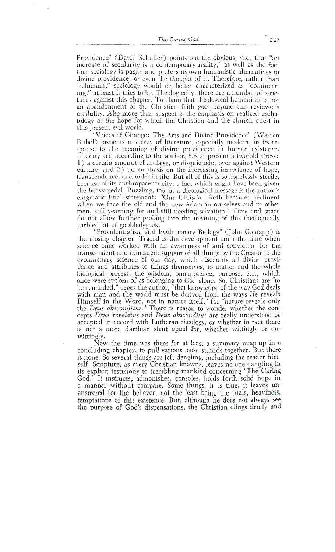Providence" (David Schuller) points out the obvious, viz., that "an increase of secularity is a contemporary reality," as well as the fact that sociology is pagan and prefers its own humanistic alternatives to divine providence, or even the thought of it. Therefore, rather than "reluctant," sociology would be better characterized as "domineering;" at least it tries to be. Theologically, there are a number of strictures against this chapter. To claim that theological humanism is not an abandonment of the Christian faith goes beyond this reviewer's credulity. Also more than suspect is the emphasis on realized eschatology as the hope for which the Christian and the church quest in this present evil world.

"Voices of Change: The Arts and Divine Providence" (Warren Rubel) presents a survey of literature, especially moclern, in its response to the meaning of divine providence in human existence. Literary art, according to the author, has at present a twofold stress: 1) a certain amount of malaise, or disquietude, over against Western culture; and 2) an emphasis on the increasing importance of hope, transcendence, and order in life. But all of this is so hopelessly sterile, because of its anthropocentricity, a fact which might have been given the heavy pedal. Puzzling, too, as a theological message is the author's enigmatic final statement: "Our Christian faith becomes pertinent when we face the old and the new Adam in ourselves and in other men, still yearning for and still needing salvation." Time and space do not allow further probing into the meaning of this theologically garbled bit of gobbledygook.

"Providentialism and Evolutionary Biology" (John Gienapp) is the closing chapter. Traced is the development from the time when science once worked with an awareness of and conviction for the transcendent and immanent support of all things by the Creator to the evolutionary science of our day, which discounts all divine providence and attributes to things themselves, to matter and the whole biological process, the wisdom, omnipotence, purpose, etc., which once were spoken of as belonging to God alone. So, Christians are "to be reminded," urges the author, "that knowledge of the way God deals with man and the world must be derived from the ways He reveals Himself in the Word, not in nature itself," for "nature reveals only the *Deus absconditus."* There is reason to wonder whether the concepts *Deus revelatus* and *Deus absconditus* are really understood or accepted in accord with Lutheran theology; or whether in fact there is not a more Barthian slant opted for, whether wittingly or unwittingly.

Now the time was there for at least a summary wrap-up in a concluding chapter, to pull various loose strands together. But there is none. So several things are left dangling, including the reader himself. Scripture, as every Christian knowns, leaves no one dangling in its explicit testimony to trembling mankind concerning "The Caring God." It instructs, admonishes, consoles, holds forth solid hope in a manner without compare. Some things, it is true, it leaves unanswered for the believer, not the least being the trials, heaviness, temptations of this existence. But, although he does not always see the purpose of God's dispensations, the Christian clings firmly and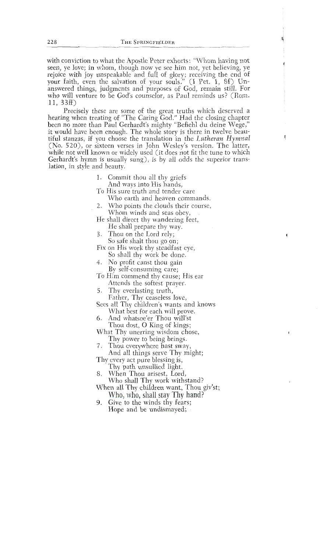with conviction to what the Apostle Peter exhorts: "Whom having not seen, ye love; in whom, though now ye see him not, yet believing, ye rejoice with joy unspeakable and full of glory; receiving the end of your faith, even the salvation of your souls." (I Pet. 1, 8f) Unanswered things, judgments and purposes of God, remain still. For who will venture to be God's counselor, as Paul reminds us? (Rom. 11, 33ff)  $(1, 33ff)$ 

Precisely these are some of the great truths which deserved a hearing when treating of "The Caring God." Had the closing chapter been no more than Paul Gerhardt's mighty "Befiehl du deine Wege," it would have been enough. The whole story is there in twelve beau-<br>tiful stanzas, if you choose the translation in the Lutheran Hymnal  $(N_0, 520)$ , or sixteen verses in John Wesley's version. The latter, while not well known or widely used (it does not fit the tune to which (a) wheely used (it does not it the turn  $\frac{1}{2}$  is usually sung), is by an odus the su  $\alpha$ unds and seas obey,  $\alpha$ 

- 1. Commit thou all thy griefs And ways into His hands,
- To His sure truth and tender care Who earth and heaven commands.
- 2. Who points the clouds their course, Whom winds and seas obev,
- He shall direct thy wandering feet, He shall prepare thy way.
- 3. Thou on the Lord rely; So safe shalt thou go on;
- Fix on His work thy steadfast eye, So shall thy work be done.
- 4. No profit canst thou gain By self-consuming care;
- To Him commend thy cause; His ear Attends the softest prayer.
- 5. Thy everlasting truth, Father, Thy ceaseless love,
- Sees all Thy children's wants and knows What best for each will prove.
- 6. And whatsoe'er Thou will'st Thou dost, O King of kings;
- What Thy unerring wisdom chose, Thy power to being brings.
- 7. Thou everywhere hast sway, And all things serve Thy might;
- Thy every act pure blessing is,
- Thy path unsullied light.<br>When Thou arisest, Lord, 8.
	- Who shall Thy work withstand?
- When all Thy children want, Thou giv'st; Who, who, shall stay Thy hand?
- 9. Give to the winds thy fears; Hope and be undismayed;